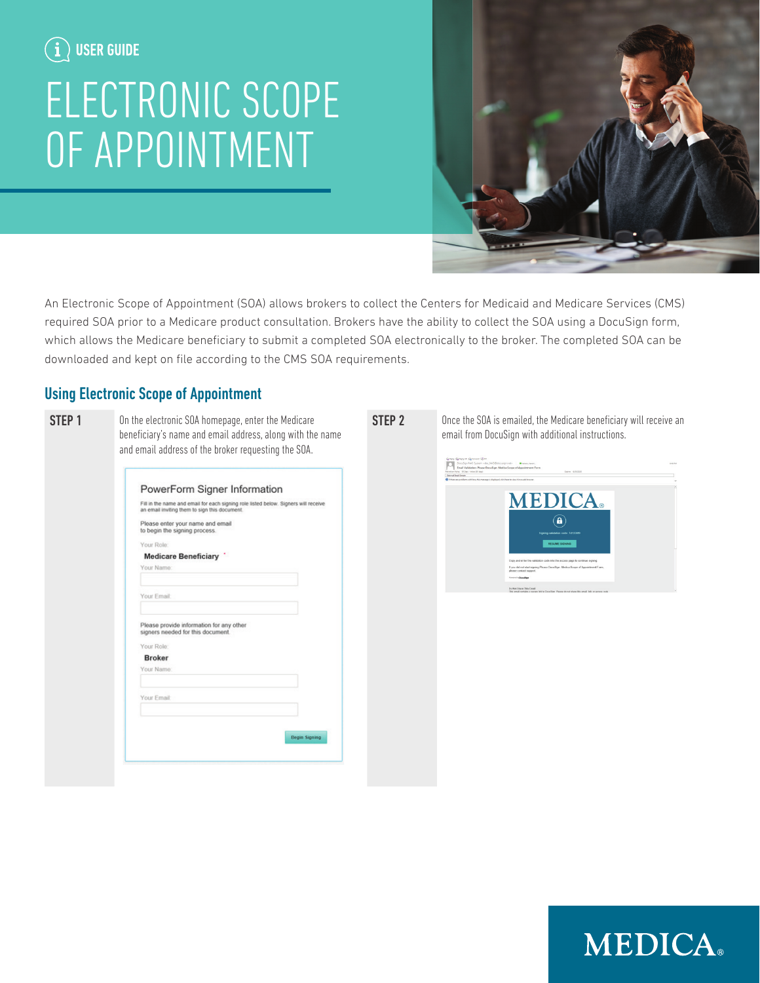## ELECTRONIC SCOPE OF APPOINTMENT



An Electronic Scope of Appointment (SOA) allows brokers to collect the Centers for Medicaid and Medicare Services (CMS) required SOA prior to a Medicare product consultation. Brokers have the ability to collect the SOA using a DocuSign form, which allows the Medicare beneficiary to submit a completed SOA electronically to the broker. The completed SOA can be downloaded and kept on file according to the CMS SOA requirements.

## Using Electronic Scope of Appointment

Your Role:

Your Name

Your Email:

Your Role **Rroker** Your Name

Your Email:

Please enter your name and email<br>to begin the signing process.

Medicare Beneficiary

Please provide information for any other<br>signers needed for this document.

|--|--|--|--|--|

On the electronic SOA homepage, enter the Medicare beneficiary's name and email address, along with the name and email address of the broker requesting the SOA. PowerForm Signer Information Fill in the name and email for each signing role listed below. Signers will receive<br>an email inviting them to sign this document.

Begin Signing

Once the SOA is emailed, the Medicare beneficiary will receive an email from DocuSign with additional instructions.